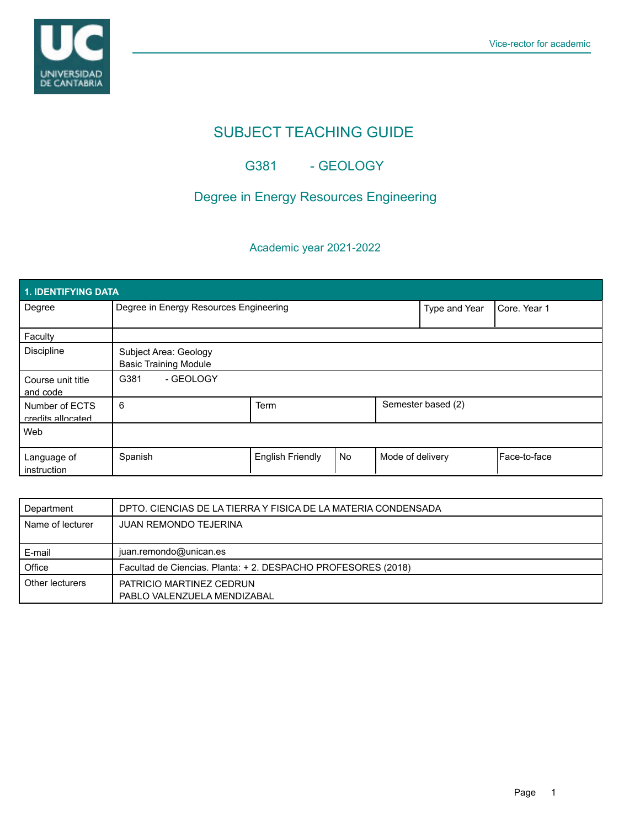

# SUBJECT TEACHING GUIDE

### G381 - GEOLOGY

## Degree in Energy Resources Engineering

### Academic year 2021-2022

| 1. IDENTIFYING DATA                 |                                                       |                         |    |                    |              |                |  |  |  |
|-------------------------------------|-------------------------------------------------------|-------------------------|----|--------------------|--------------|----------------|--|--|--|
| Degree                              | Degree in Energy Resources Engineering                |                         |    | Type and Year      | Core, Year 1 |                |  |  |  |
| Faculty                             |                                                       |                         |    |                    |              |                |  |  |  |
| <b>Discipline</b>                   | Subject Area: Geology<br><b>Basic Training Module</b> |                         |    |                    |              |                |  |  |  |
| Course unit title<br>and code       | - GEOLOGY<br>G381                                     |                         |    |                    |              |                |  |  |  |
| Number of ECTS<br>credits allocated | 6                                                     | <b>Term</b>             |    | Semester based (2) |              |                |  |  |  |
| Web                                 |                                                       |                         |    |                    |              |                |  |  |  |
| Language of<br>instruction          | Spanish                                               | <b>English Friendly</b> | No | Mode of delivery   |              | l Face-to-face |  |  |  |

| Department       | DPTO. CIENCIAS DE LA TIERRA Y FISICA DE LA MATERIA CONDENSADA |  |  |
|------------------|---------------------------------------------------------------|--|--|
| Name of lecturer | <b>JUAN REMONDO TEJERINA</b>                                  |  |  |
|                  |                                                               |  |  |
| E-mail           | juan.remondo@unican.es                                        |  |  |
| Office           | Facultad de Ciencias. Planta: +2. DESPACHO PROFESORES (2018)  |  |  |
| Other lecturers  | PATRICIO MARTINEZ CEDRUN                                      |  |  |
|                  | PABLO VALENZUELA MENDIZABAL                                   |  |  |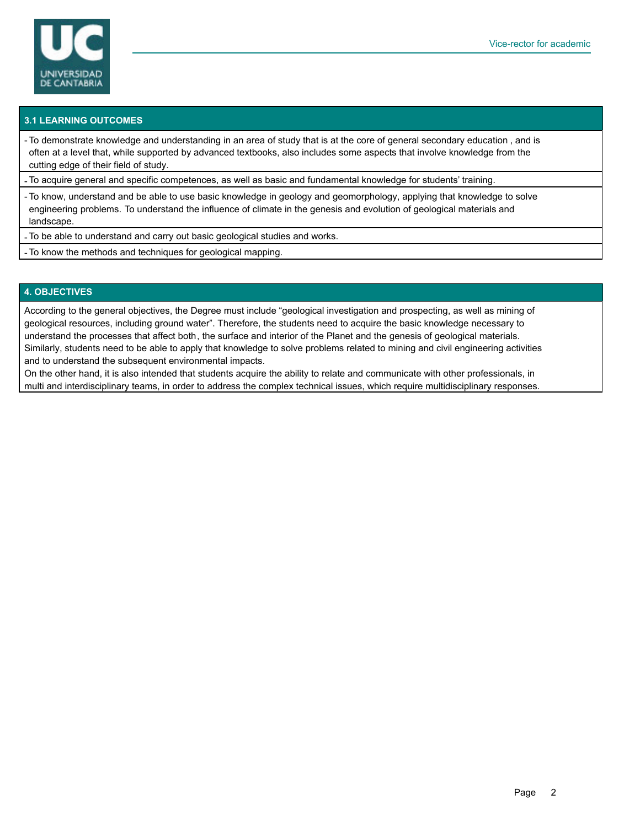

### **3.1 LEARNING OUTCOMES**

- To demonstrate knowledge and understanding in an area of study that is at the core of general secondary education , and is often at a level that, while supported by advanced textbooks, also includes some aspects that involve knowledge from the cutting edge of their field of study.

- To acquire general and specific competences, as well as basic and fundamental knowledge for students' training.

- To know, understand and be able to use basic knowledge in geology and geomorphology, applying that knowledge to solve engineering problems. To understand the influence of climate in the genesis and evolution of geological materials and landscape.

- To be able to understand and carry out basic geological studies and works.

- To know the methods and techniques for geological mapping.

#### **4. OBJECTIVES**

According to the general objectives, the Degree must include "geological investigation and prospecting, as well as mining of geological resources, including ground water". Therefore, the students need to acquire the basic knowledge necessary to understand the processes that affect both, the surface and interior of the Planet and the genesis of geological materials. Similarly, students need to be able to apply that knowledge to solve problems related to mining and civil engineering activities and to understand the subsequent environmental impacts.

On the other hand, it is also intended that students acquire the ability to relate and communicate with other professionals, in multi and interdisciplinary teams, in order to address the complex technical issues, which require multidisciplinary responses.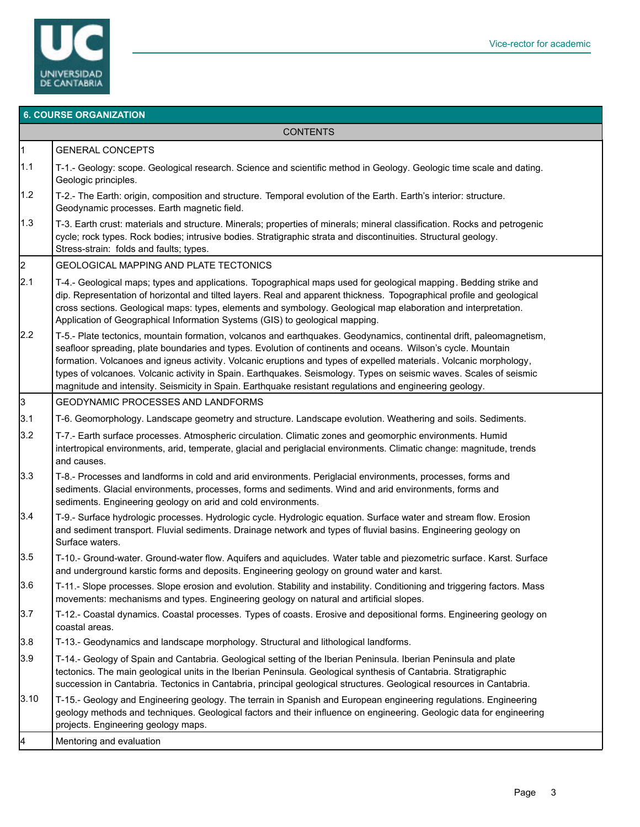

|                      | <b>6. COURSE ORGANIZATION</b>                                                                                                                                                                                                                                                                                                                                                                                                                                                                                                                                                               |  |  |  |  |  |
|----------------------|---------------------------------------------------------------------------------------------------------------------------------------------------------------------------------------------------------------------------------------------------------------------------------------------------------------------------------------------------------------------------------------------------------------------------------------------------------------------------------------------------------------------------------------------------------------------------------------------|--|--|--|--|--|
| <b>CONTENTS</b>      |                                                                                                                                                                                                                                                                                                                                                                                                                                                                                                                                                                                             |  |  |  |  |  |
| $\overline{1}$       | <b>GENERAL CONCEPTS</b>                                                                                                                                                                                                                                                                                                                                                                                                                                                                                                                                                                     |  |  |  |  |  |
| 1.1                  | T-1.- Geology: scope. Geological research. Science and scientific method in Geology. Geologic time scale and dating.<br>Geologic principles.                                                                                                                                                                                                                                                                                                                                                                                                                                                |  |  |  |  |  |
| 1.2                  | T-2.- The Earth: origin, composition and structure. Temporal evolution of the Earth. Earth's interior: structure.<br>Geodynamic processes. Earth magnetic field.                                                                                                                                                                                                                                                                                                                                                                                                                            |  |  |  |  |  |
| 1.3                  | T-3. Earth crust: materials and structure. Minerals; properties of minerals; mineral classification. Rocks and petrogenic<br>cycle; rock types. Rock bodies; intrusive bodies. Stratigraphic strata and discontinuities. Structural geology.<br>Stress-strain: folds and faults; types.                                                                                                                                                                                                                                                                                                     |  |  |  |  |  |
| $\vert$ <sub>2</sub> | GEOLOGICAL MAPPING AND PLATE TECTONICS                                                                                                                                                                                                                                                                                                                                                                                                                                                                                                                                                      |  |  |  |  |  |
| 2.1                  | T-4.- Geological maps; types and applications. Topographical maps used for geological mapping. Bedding strike and<br>dip. Representation of horizontal and tilted layers. Real and apparent thickness. Topographical profile and geological<br>cross sections. Geological maps: types, elements and symbology. Geological map elaboration and interpretation.<br>Application of Geographical Information Systems (GIS) to geological mapping.                                                                                                                                               |  |  |  |  |  |
| 2.2                  | T-5.- Plate tectonics, mountain formation, volcanos and earthquakes. Geodynamics, continental drift, paleomagnetism,<br>seafloor spreading, plate boundaries and types. Evolution of continents and oceans. Wilson's cycle. Mountain<br>formation. Volcanoes and igneus activity. Volcanic eruptions and types of expelled materials. Volcanic morphology,<br>types of volcanoes. Volcanic activity in Spain. Earthquakes. Seismology. Types on seismic waves. Scales of seismic<br>magnitude and intensity. Seismicity in Spain. Earthquake resistant regulations and engineering geology. |  |  |  |  |  |
| 3                    | GEODYNAMIC PROCESSES AND LANDFORMS                                                                                                                                                                                                                                                                                                                                                                                                                                                                                                                                                          |  |  |  |  |  |
| 3.1                  | T-6. Geomorphology. Landscape geometry and structure. Landscape evolution. Weathering and soils. Sediments.                                                                                                                                                                                                                                                                                                                                                                                                                                                                                 |  |  |  |  |  |
| 3.2                  | T-7.- Earth surface processes. Atmospheric circulation. Climatic zones and geomorphic environments. Humid<br>intertropical environments, arid, temperate, glacial and periglacial environments. Climatic change: magnitude, trends<br>and causes.                                                                                                                                                                                                                                                                                                                                           |  |  |  |  |  |
| 3.3                  | T-8.- Processes and landforms in cold and arid environments. Periglacial environments, processes, forms and<br>sediments. Glacial environments, processes, forms and sediments. Wind and arid environments, forms and<br>sediments. Engineering geology on arid and cold environments.                                                                                                                                                                                                                                                                                                      |  |  |  |  |  |
| 3.4                  | T-9.- Surface hydrologic processes. Hydrologic cycle. Hydrologic equation. Surface water and stream flow. Erosion<br>and sediment transport. Fluvial sediments. Drainage network and types of fluvial basins. Engineering geology on<br>Surface waters.                                                                                                                                                                                                                                                                                                                                     |  |  |  |  |  |
| 3.5                  | T-10.- Ground-water. Ground-water flow. Aquifers and aquicludes. Water table and piezometric surface. Karst. Surface<br>and underground karstic forms and deposits. Engineering geology on ground water and karst.                                                                                                                                                                                                                                                                                                                                                                          |  |  |  |  |  |
| 3.6                  | T-11.- Slope processes. Slope erosion and evolution. Stability and instability. Conditioning and triggering factors. Mass<br>movements: mechanisms and types. Engineering geology on natural and artificial slopes.                                                                                                                                                                                                                                                                                                                                                                         |  |  |  |  |  |
| 3.7                  | T-12.- Coastal dynamics. Coastal processes. Types of coasts. Erosive and depositional forms. Engineering geology on<br>coastal areas.                                                                                                                                                                                                                                                                                                                                                                                                                                                       |  |  |  |  |  |
| 3.8                  | T-13.- Geodynamics and landscape morphology. Structural and lithological landforms.                                                                                                                                                                                                                                                                                                                                                                                                                                                                                                         |  |  |  |  |  |
| 3.9                  | T-14.- Geology of Spain and Cantabria. Geological setting of the Iberian Peninsula. Iberian Peninsula and plate<br>tectonics. The main geological units in the Iberian Peninsula. Geological synthesis of Cantabria. Stratigraphic<br>succession in Cantabria. Tectonics in Cantabria, principal geological structures. Geological resources in Cantabria.                                                                                                                                                                                                                                  |  |  |  |  |  |
| 3.10                 | T-15.- Geology and Engineering geology. The terrain in Spanish and European engineering regulations. Engineering<br>geology methods and techniques. Geological factors and their influence on engineering. Geologic data for engineering<br>projects. Engineering geology maps.                                                                                                                                                                                                                                                                                                             |  |  |  |  |  |
| 4                    | Mentoring and evaluation                                                                                                                                                                                                                                                                                                                                                                                                                                                                                                                                                                    |  |  |  |  |  |